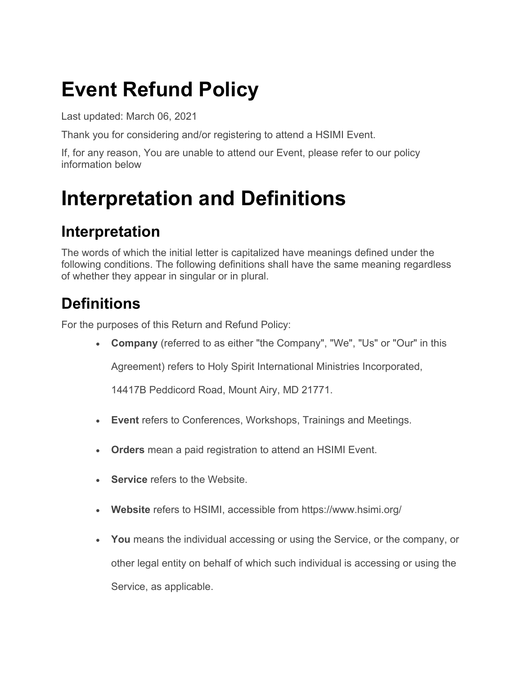## **Event Refund Policy**

Last updated: March 06, 2021

Thank you for considering and/or registering to attend a HSIMI Event.

If, for any reason, You are unable to attend our Event, please refer to our policy information below

### **Interpretation and Definitions**

#### **Interpretation**

The words of which the initial letter is capitalized have meanings defined under the following conditions. The following definitions shall have the same meaning regardless of whether they appear in singular or in plural.

### **Definitions**

For the purposes of this Return and Refund Policy:

• **Company** (referred to as either "the Company", "We", "Us" or "Our" in this

Agreement) refers to Holy Spirit International Ministries Incorporated,

14417B Peddicord Road, Mount Airy, MD 21771.

- **Event** refers to Conferences, Workshops, Trainings and Meetings.
- **Orders** mean a paid registration to attend an HSIMI Event.
- **Service** refers to the Website.
- **Website** refers to HSIMI, accessible from <https://www.hsimi.org/>
- **You** means the individual accessing or using the Service, or the company, or other legal entity on behalf of which such individual is accessing or using the Service, as applicable.